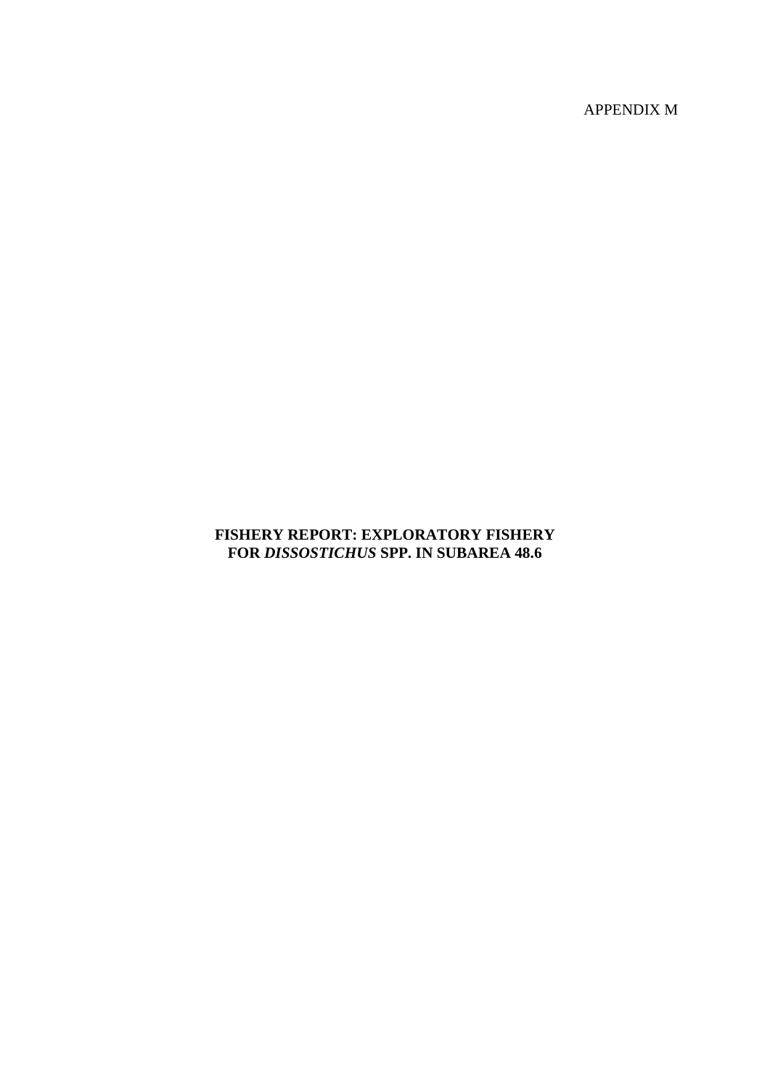APPENDIX M

# **FISHERY REPORT: EXPLORATORY FISHERY FOR** *DISSOSTICHUS* **SPP. IN SUBAREA 48.6**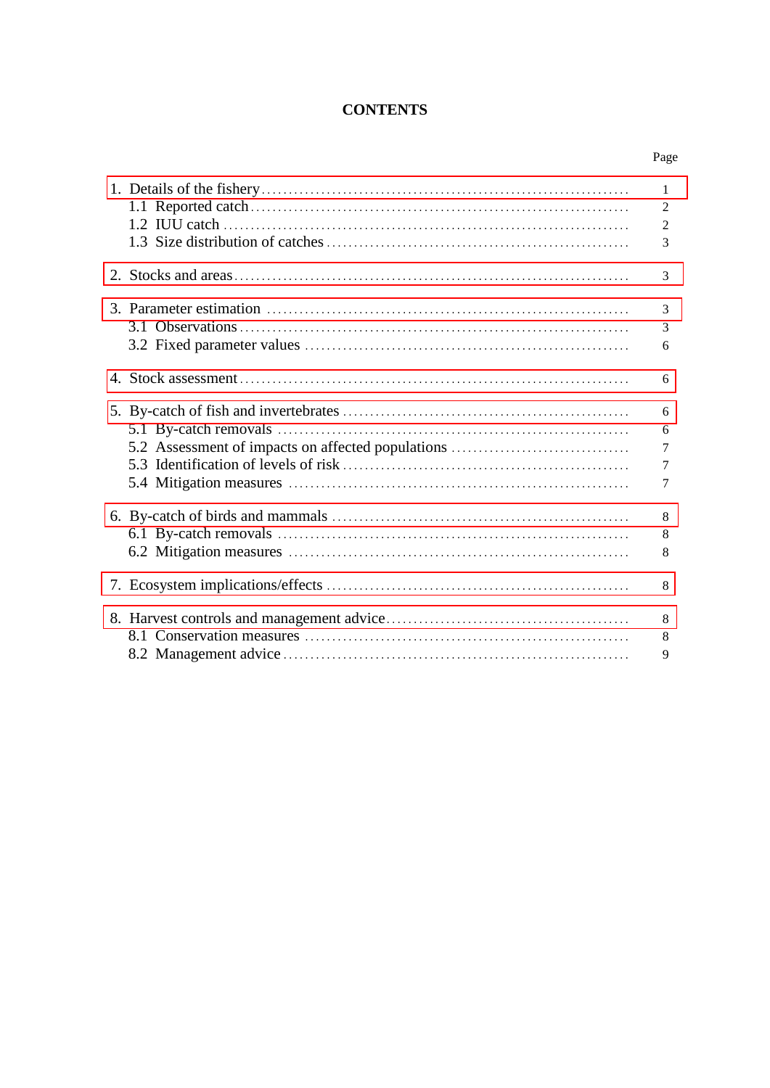# **CONTENTS**

|                                                   | $\mathbf{1}$   |
|---------------------------------------------------|----------------|
|                                                   | $\overline{2}$ |
|                                                   | $\overline{2}$ |
|                                                   | 3              |
|                                                   | 3              |
|                                                   | 3              |
|                                                   | 3              |
|                                                   | 6              |
|                                                   | 6              |
|                                                   | 6              |
|                                                   | 6              |
| 5.2 Assessment of impacts on affected populations | $\overline{7}$ |
|                                                   | $\overline{7}$ |
|                                                   | $\tau$         |
|                                                   | 8              |
|                                                   | 8              |
|                                                   | 8              |
|                                                   | 8              |
|                                                   | 8              |
|                                                   | 8              |
|                                                   | 9              |
|                                                   |                |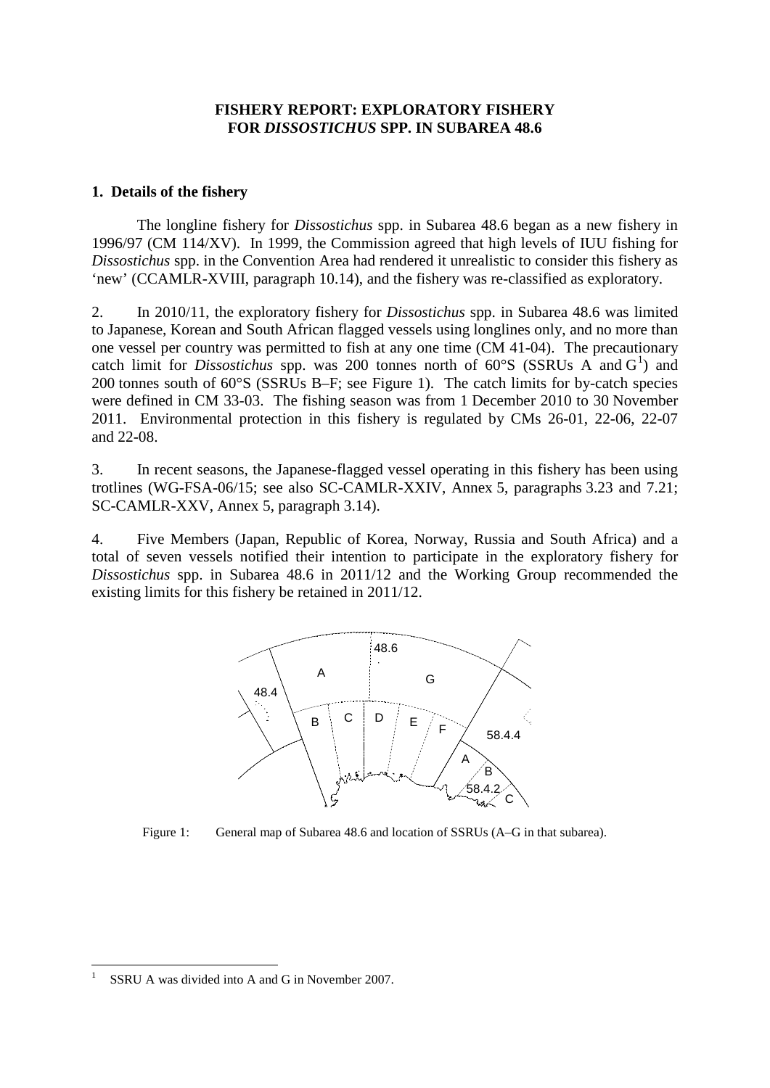### **FISHERY REPORT: EXPLORATORY FISHERY FOR** *DISSOSTICHUS* **SPP. IN SUBAREA 48.6**

### <span id="page-2-0"></span>**1. Details of the fishery**

The longline fishery for *Dissostichus* spp. in Subarea 48.6 began as a new fishery in 1996/97 (CM 114/XV). In 1999, the Commission agreed that high levels of IUU fishing for *Dissostichus* spp. in the Convention Area had rendered it unrealistic to consider this fishery as 'new' (CCAMLR-XVIII, paragraph 10.14), and the fishery was re-classified as exploratory.

2. In 2010/11, the exploratory fishery for *Dissostichus* spp. in Subarea 48.6 was limited to Japanese, Korean and South African flagged vessels using longlines only, and no more than one vessel per country was permitted to fish at any one time (CM 41-04). The precautionary catch limit for *Dissostichus* spp. was 200 tonnes north of  $60^{\circ}S$  (SSRUs A and  $G^1$  $G^1$ ) and 200 tonnes south of 60°S (SSRUs B–F; see Figure 1). The catch limits for by-catch species were defined in CM 33-03. The fishing season was from 1 December 2010 to 30 November 2011. Environmental protection in this fishery is regulated by CMs 26-01, 22-06, 22-07 and 22-08.

3. In recent seasons, the Japanese-flagged vessel operating in this fishery has been using trotlines (WG-FSA-06/15; see also SC-CAMLR-XXIV, Annex 5, paragraphs 3.23 and 7.21; SC-CAMLR-XXV, Annex 5, paragraph 3.14).

4. Five Members (Japan, Republic of Korea, Norway, Russia and South Africa) and a total of seven vessels notified their intention to participate in the exploratory fishery for *Dissostichus* spp. in Subarea 48.6 in 2011/12 and the Working Group recommended the existing limits for this fishery be retained in 2011/12.



Figure 1: General map of Subarea 48.6 and location of SSRUs (A–G in that subarea).

<span id="page-2-1"></span>SSRU A was divided into A and G in November 2007.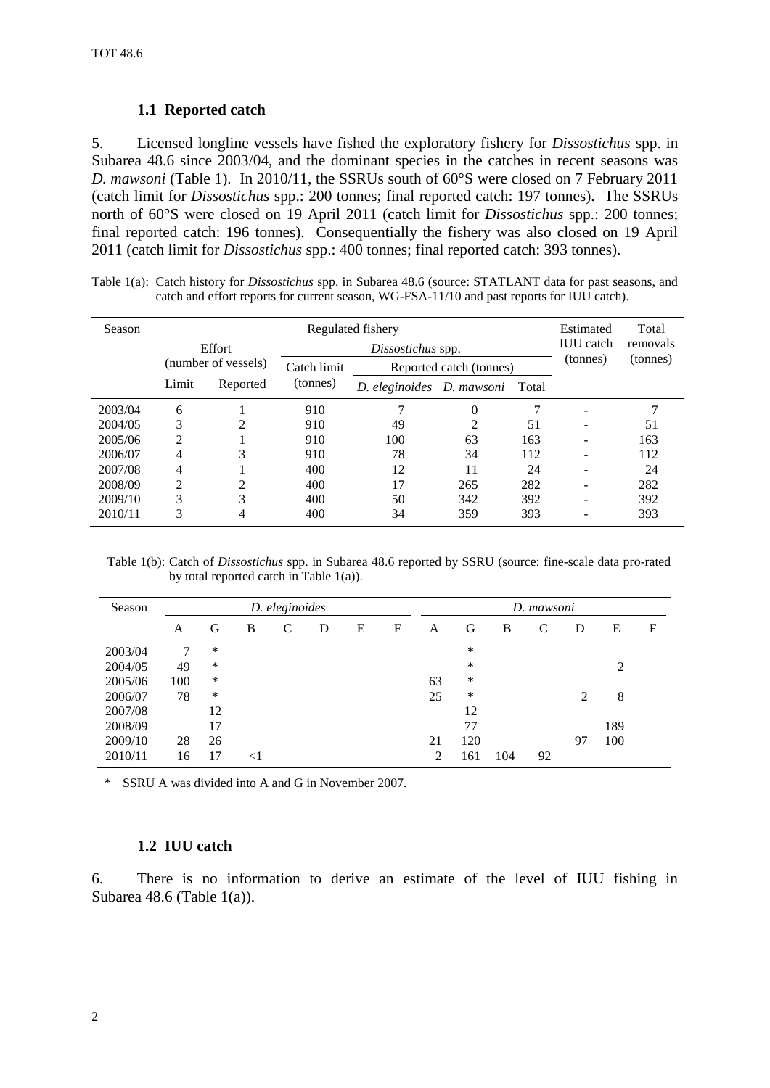### **1.1 Reported catch**

5. Licensed longline vessels have fished the exploratory fishery for *Dissostichus* spp. in Subarea 48.6 since 2003/04, and the dominant species in the catches in recent seasons was *D. mawsoni* (Table 1). In 2010/11, the SSRUs south of 60°S were closed on 7 February 2011 (catch limit for *Dissostichus* spp.: 200 tonnes; final reported catch: 197 tonnes). The SSRUs north of 60°S were closed on 19 April 2011 (catch limit for *Dissostichus* spp.: 200 tonnes; final reported catch: 196 tonnes). Consequentially the fishery was also closed on 19 April 2011 (catch limit for *Dissostichus* spp.: 400 tonnes; final reported catch: 393 tonnes).

| Table 1(a): Catch history for <i>Dissostichus</i> spp. in Subarea 48.6 (source: STATLANT data for past seasons, and |
|---------------------------------------------------------------------------------------------------------------------|
| catch and effort reports for current season, WG-FSA-11/10 and past reports for IUU catch).                          |

| Season  |                | Estimated           | Total       |                   |                                    |     |          |          |
|---------|----------------|---------------------|-------------|-------------------|------------------------------------|-----|----------|----------|
|         |                | Effort              |             | Dissostichus spp. |                                    |     |          | removals |
|         |                | (number of vessels) | Catch limit |                   | Reported catch (tonnes)            |     | (tonnes) | (tonnes) |
|         | Limit          | Reported            | (tonnes)    |                   | D. eleginoides D. mawsoni<br>Total |     |          |          |
| 2003/04 | 6              |                     | 910         |                   | $\theta$                           |     |          |          |
| 2004/05 | 3              | 2                   | 910         | 49                | 2                                  | 51  |          | 51       |
| 2005/06 | $\overline{c}$ |                     | 910         | 100               | 63                                 | 163 |          | 163      |
| 2006/07 | 4              | 3                   | 910         | 78                | 34                                 | 112 |          | 112      |
| 2007/08 | 4              |                     | 400         | 12                | 11                                 | 24  |          | 24       |
| 2008/09 | $\mathfrak{D}$ | 2                   | 400         | 17                | 265                                | 282 |          | 282      |
| 2009/10 | 3              | 3                   | 400         | 50                | 342                                | 392 |          | 392      |
| 2010/11 | 3              | 4                   | 400         | 34                | 359                                | 393 |          | 393      |

Table 1(b): Catch of *Dissostichus* spp. in Subarea 48.6 reported by SSRU (source: fine-scale data pro-rated by total reported catch in Table 1(a)).

| Season  |     |    |       | D. eleginoides |   |   |   |    |     |     | D. mawsoni    |                             |     |             |
|---------|-----|----|-------|----------------|---|---|---|----|-----|-----|---------------|-----------------------------|-----|-------------|
|         | A   | G  | B     | C              | D | E | F | A  | G   | B   | $\mathcal{C}$ | D                           | E   | $\mathbf F$ |
| 2003/04 | 7   | *  |       |                |   |   |   |    | *   |     |               |                             |     |             |
| 2004/05 | 49  | ∗  |       |                |   |   |   |    | *   |     |               |                             | 2   |             |
| 2005/06 | 100 | *  |       |                |   |   |   | 63 | ∗   |     |               |                             |     |             |
| 2006/07 | 78  | *  |       |                |   |   |   | 25 | ∗   |     |               | $\mathcal{D}_{\mathcal{A}}$ | 8   |             |
| 2007/08 |     | 12 |       |                |   |   |   |    | 12  |     |               |                             |     |             |
| 2008/09 |     | 17 |       |                |   |   |   |    | 77  |     |               |                             | 189 |             |
| 2009/10 | 28  | 26 |       |                |   |   |   | 21 | 120 |     |               | 97                          | 100 |             |
| 2010/11 | 16  | 17 | $<$ 1 |                |   |   |   | 2  | 161 | 104 | 92            |                             |     |             |

\* SSRU A was divided into A and G in November 2007.

### **1.2 IUU catch**

6. There is no information to derive an estimate of the level of IUU fishing in Subarea 48.6 (Table  $1(a)$ ).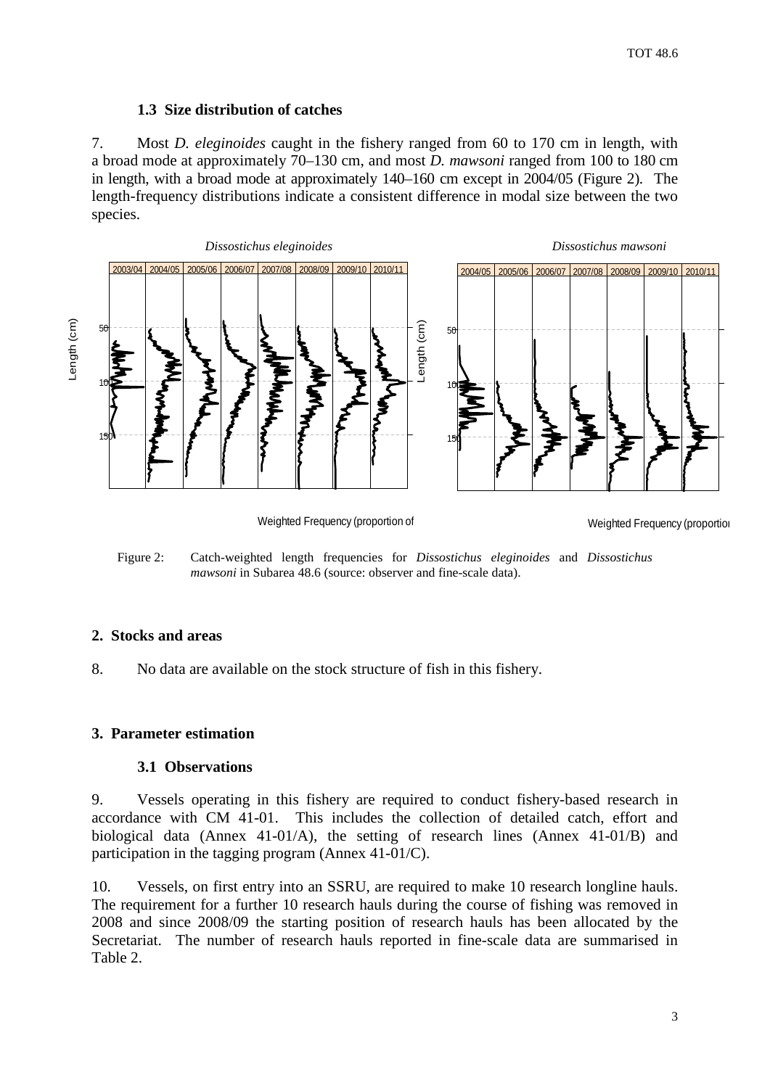### **1.3 Size distribution of catches**

<span id="page-4-0"></span>7. Most *D. eleginoides* caught in the fishery ranged from 60 to 170 cm in length, with a broad mode at approximately 70–130 cm, and most *D. mawsoni* ranged from 100 to 180 cm in length, with a broad mode at approximately 140–160 cm except in 2004/05 (Figure 2). The length-frequency distributions indicate a consistent difference in modal size between the two species.



Weighted Frequency (proportion of

Weighted Frequency (proportion

Figure 2: Catch-weighted length frequencies for *Dissostichus eleginoides* and *Dissostichus mawsoni* in Subarea 48.6 (source: observer and fine-scale data).

### **2. Stocks and areas**

8. No data are available on the stock structure of fish in this fishery.

### **3. Parameter estimation**

### **3.1 Observations**

9. Vessels operating in this fishery are required to conduct fishery-based research in accordance with CM 41-01. This includes the collection of detailed catch, effort and biological data (Annex 41-01/A), the setting of research lines (Annex 41-01/B) and participation in the tagging program (Annex 41-01/C).

10. Vessels, on first entry into an SSRU, are required to make 10 research longline hauls. The requirement for a further 10 research hauls during the course of fishing was removed in 2008 and since 2008/09 the starting position of research hauls has been allocated by the Secretariat. The number of research hauls reported in fine-scale data are summarised in Table 2.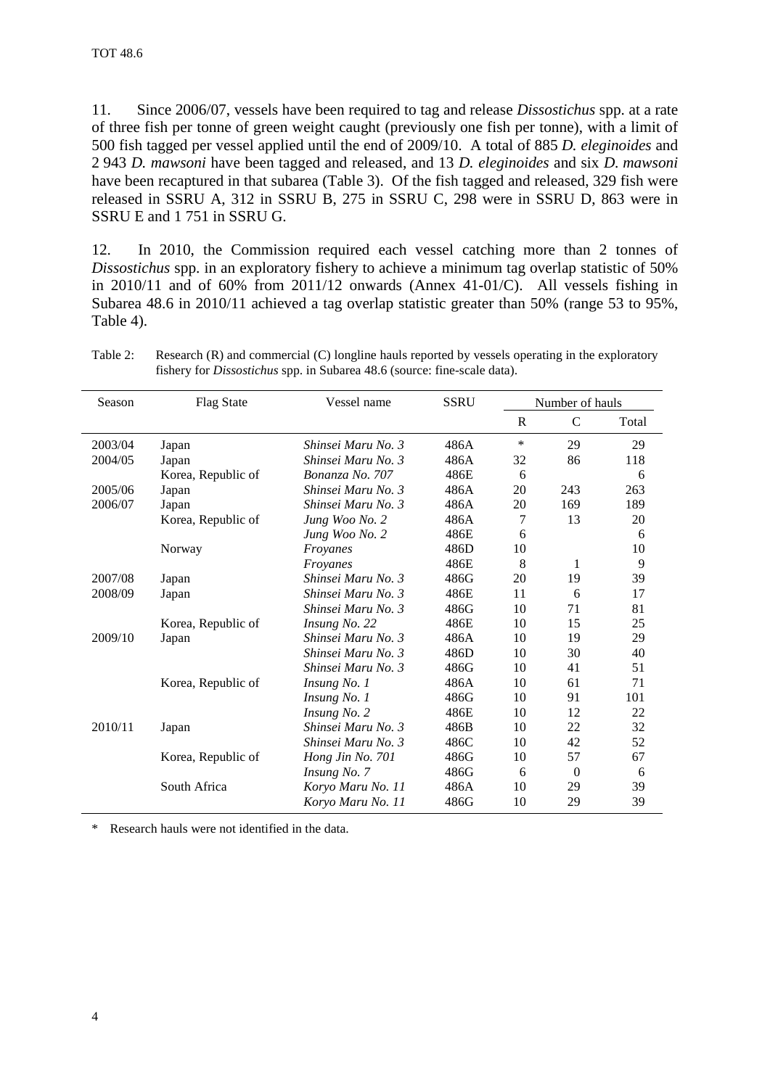11. Since 2006/07, vessels have been required to tag and release *Dissostichus* spp. at a rate of three fish per tonne of green weight caught (previously one fish per tonne), with a limit of 500 fish tagged per vessel applied until the end of 2009/10. A total of 885 *D. eleginoides* and 2 943 *D. mawsoni* have been tagged and released, and 13 *D. eleginoides* and six *D. mawsoni* have been recaptured in that subarea (Table 3). Of the fish tagged and released, 329 fish were released in SSRU A, 312 in SSRU B, 275 in SSRU C, 298 were in SSRU D, 863 were in SSRU E and 1 751 in SSRU G.

12. In 2010, the Commission required each vessel catching more than 2 tonnes of *Dissostichus* spp. in an exploratory fishery to achieve a minimum tag overlap statistic of 50% in 2010/11 and of 60% from 2011/12 onwards (Annex 41-01/C). All vessels fishing in Subarea 48.6 in 2010/11 achieved a tag overlap statistic greater than 50% (range 53 to 95%, Table 4).

| Season  | <b>Flag State</b>  | Vessel name        | <b>SSRU</b> |    | Number of hauls |       |
|---------|--------------------|--------------------|-------------|----|-----------------|-------|
|         |                    |                    |             | R  | $\mathcal{C}$   | Total |
| 2003/04 | Japan              | Shinsei Maru No. 3 | 486A        | *  | 29              | 29    |
| 2004/05 | Japan              | Shinsei Maru No. 3 | 486A        | 32 | 86              | 118   |
|         | Korea, Republic of | Bonanza No. 707    | 486E        | 6  |                 | 6     |
| 2005/06 | Japan              | Shinsei Maru No. 3 | 486A        | 20 | 243             | 263   |
| 2006/07 | Japan              | Shinsei Maru No. 3 | 486A        | 20 | 169             | 189   |
|         | Korea, Republic of | Jung Woo No. 2     | 486A        | 7  | 13              | 20    |
|         |                    | Jung Woo No. 2     | 486E        | 6  |                 | 6     |
|         | Norway             | Froyanes           | 486D        | 10 |                 | 10    |
|         |                    | Froyanes           | 486E        | 8  | 1               | 9     |
| 2007/08 | Japan              | Shinsei Maru No. 3 | 486G        | 20 | 19              | 39    |
| 2008/09 | Japan              | Shinsei Maru No. 3 | 486E        | 11 | 6               | 17    |
|         |                    | Shinsei Maru No. 3 | 486G        | 10 | 71              | 81    |
|         | Korea, Republic of | Insung No. 22      | 486E        | 10 | 15              | 25    |
| 2009/10 | Japan              | Shinsei Maru No. 3 | 486A        | 10 | 19              | 29    |
|         |                    | Shinsei Maru No. 3 | 486D        | 10 | 30              | 40    |
|         |                    | Shinsei Maru No. 3 | 486G        | 10 | 41              | 51    |
|         | Korea, Republic of | Insung No. 1       | 486A        | 10 | 61              | 71    |
|         |                    | Insung No. 1       | 486G        | 10 | 91              | 101   |
|         |                    | Insung No. 2       | 486E        | 10 | 12              | 22    |
| 2010/11 | Japan              | Shinsei Maru No. 3 | 486B        | 10 | 22              | 32    |
|         |                    | Shinsei Maru No. 3 | 486C        | 10 | 42              | 52    |
|         | Korea, Republic of | Hong Jin No. 701   | 486G        | 10 | 57              | 67    |
|         |                    | Insung No. 7       | 486G        | 6  | $\theta$        | 6     |
|         | South Africa       | Koryo Maru No. 11  | 486A        | 10 | 29              | 39    |
|         |                    | Koryo Maru No. 11  | 486G        | 10 | 29              | 39    |

Table 2: Research (R) and commercial (C) longline hauls reported by vessels operating in the exploratory fishery for *Dissostichus* spp. in Subarea 48.6 (source: fine-scale data).

\* Research hauls were not identified in the data.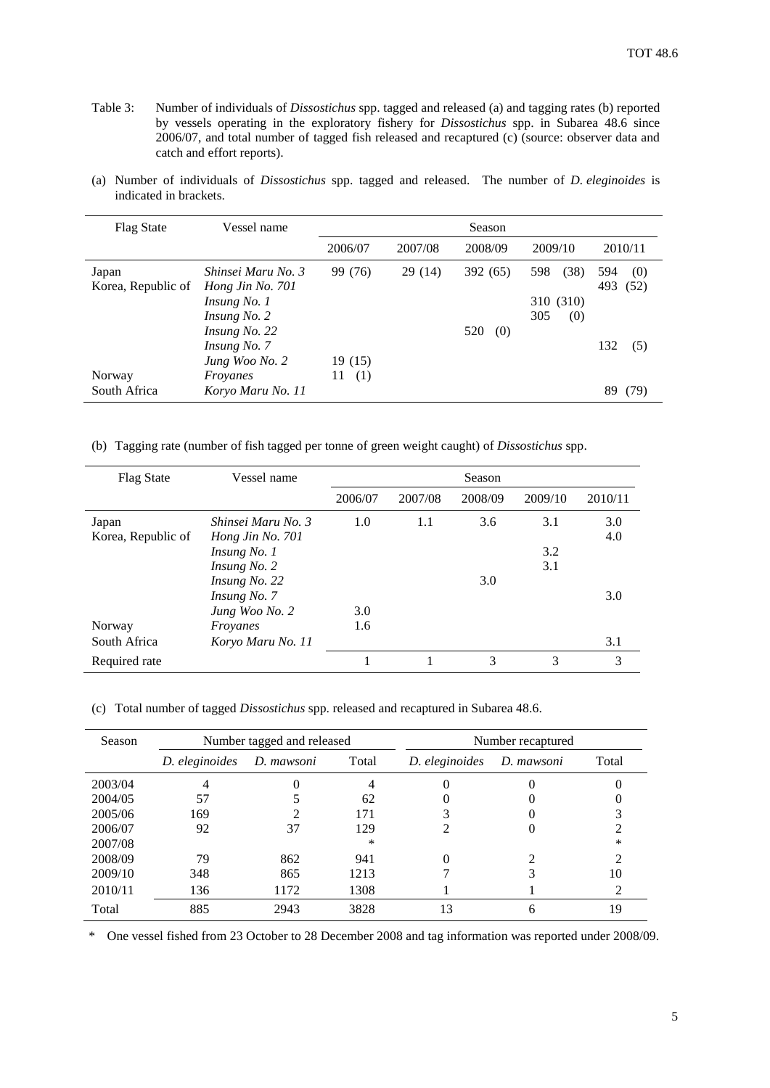- Table 3: Number of individuals of *Dissostichus* spp. tagged and released (a) and tagging rates (b) reported by vessels operating in the exploratory fishery for *Dissostichus* spp. in Subarea 48.6 since 2006/07, and total number of tagged fish released and recaptured (c) (source: observer data and catch and effort reports).
- (a) Number of individuals of *Dissostichus* spp. tagged and released. The number of *D. eleginoides* is indicated in brackets.

| <b>Flag State</b>  | Vessel name          |           |         | Season     |             |             |
|--------------------|----------------------|-----------|---------|------------|-------------|-------------|
|                    |                      | 2006/07   | 2007/08 | 2008/09    | 2009/10     | 2010/11     |
| Japan              | Shinsei Maru No. 3   | 99 (76)   | 29(14)  | 392 (65)   | (38)<br>598 | 594<br>(0)  |
| Korea, Republic of | Hong Jin No. 701     |           |         |            |             | 493<br>(52) |
|                    | <i>Insung No. 1</i>  |           |         |            | 310 (310)   |             |
|                    | <i>Insung No. 2</i>  |           |         |            | 305<br>(0)  |             |
|                    | <i>Insung No. 22</i> |           |         | (0)<br>520 |             |             |
|                    | Insung No. 7         |           |         |            |             | 132<br>(5)  |
|                    | Jung Woo No. 2       | 19 (15)   |         |            |             |             |
| Norway             | Froyanes             | (1)<br>11 |         |            |             |             |
| South Africa       | Koryo Maru No. 11    |           |         |            |             | 89<br>(79)  |

(b) Tagging rate (number of fish tagged per tonne of green weight caught) of *Dissostichus* spp.

| <b>Flag State</b>           | Vessel name                                                            |         |         | Season  |                   |            |
|-----------------------------|------------------------------------------------------------------------|---------|---------|---------|-------------------|------------|
|                             |                                                                        | 2006/07 | 2007/08 | 2008/09 | 2009/10           | 2010/11    |
| Japan<br>Korea, Republic of | Shinsei Maru No. 3<br>Hong Jin No. 701<br>Insung No. 1<br>Insung No. 2 | 1.0     | 1.1     | 3.6     | 3.1<br>3.2<br>3.1 | 3.0<br>4.0 |
|                             | Insung No. 22<br>Insung No. 7<br>Jung Woo No. 2                        | 3.0     |         | 3.0     |                   | 3.0        |
| Norway                      | Froyanes                                                               | 1.6     |         |         |                   |            |
| South Africa                | Koryo Maru No. 11                                                      |         |         |         |                   | 3.1        |
| Required rate               |                                                                        |         |         | 3       | 3                 | 3          |

(c) Total number of tagged *Dissostichus* spp. released and recaptured in Subarea 48.6.

| Season  | Number tagged and released |            |       |                | Number recaptured |        |
|---------|----------------------------|------------|-------|----------------|-------------------|--------|
|         | D. eleginoides             | D. mawsoni | Total | D. eleginoides | D. mawsoni        | Total  |
| 2003/04 |                            |            |       |                |                   |        |
| 2004/05 | 57                         |            | 62    |                |                   |        |
| 2005/06 | 169                        |            | 171   |                |                   |        |
| 2006/07 | 92                         | 37         | 129   |                |                   |        |
| 2007/08 |                            |            | ∗     |                |                   | $\ast$ |
| 2008/09 | 79                         | 862        | 941   |                |                   |        |
| 2009/10 | 348                        | 865        | 1213  |                |                   | 10     |
| 2010/11 | 136                        | 1172       | 1308  |                |                   |        |
| Total   | 885                        | 2943       | 3828  | 13             |                   | 19     |

\* One vessel fished from 23 October to 28 December 2008 and tag information was reported under 2008/09.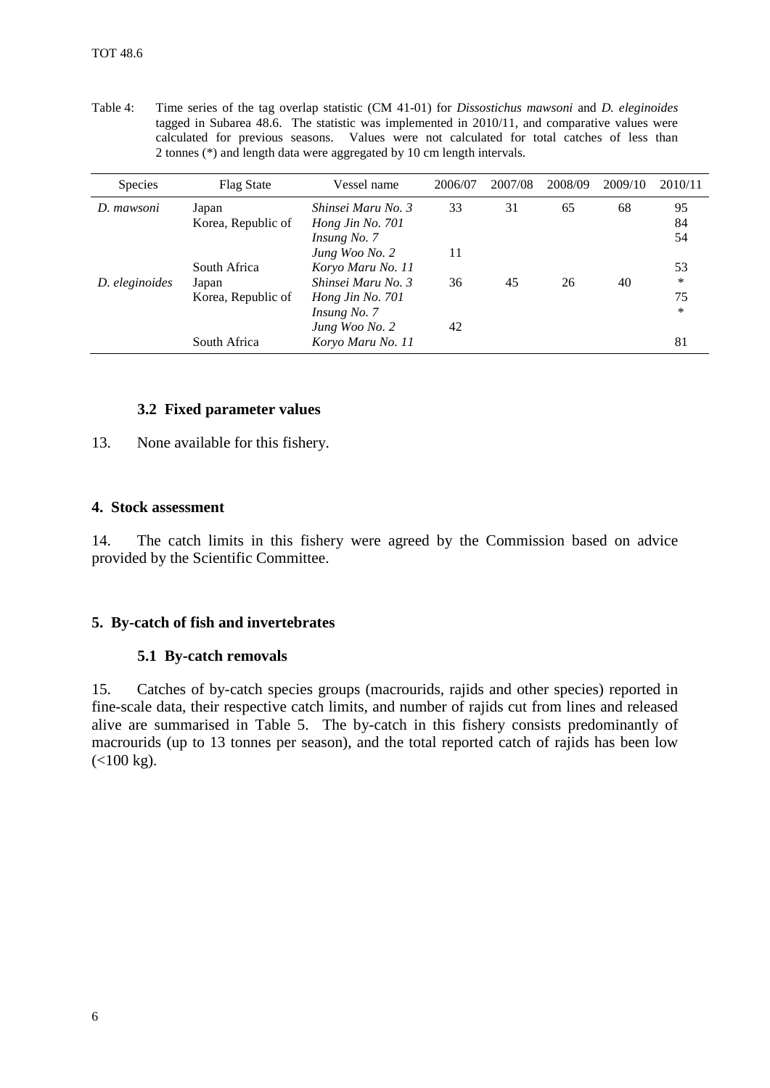| <b>Species</b> | <b>Flag State</b>  | Vessel name        | 2006/07 | 2007/08 | 2008/09 | 2009/10 | 2010/11 |
|----------------|--------------------|--------------------|---------|---------|---------|---------|---------|
| D. mawsoni     | Japan              | Shinsei Maru No. 3 | 33      | 31      | 65      | 68      | 95      |
|                | Korea, Republic of | Hong Jin No. 701   |         |         |         |         | 84      |
|                |                    | Insung No. 7       |         |         |         |         | 54      |
|                |                    | Jung Woo No. 2     | 11      |         |         |         |         |
|                | South Africa       | Koryo Maru No. 11  |         |         |         |         | 53      |
| D. eleginoides | Japan              | Shinsei Maru No. 3 | 36      | 45      | 26      | 40      | *       |
|                | Korea, Republic of | Hong Jin No. 701   |         |         |         |         | 75      |
|                |                    | Insung No. 7       |         |         |         |         | $\ast$  |
|                |                    | Jung Woo No. 2     | 42      |         |         |         |         |
|                | South Africa       | Koryo Maru No. 11  |         |         |         |         | 81      |

<span id="page-7-0"></span>Table 4: Time series of the tag overlap statistic (CM 41-01) for *Dissostichus mawsoni* and *D. eleginoides* tagged in Subarea 48.6. The statistic was implemented in 2010/11, and comparative values were calculated for previous seasons. Values were not calculated for total catches of less than 2 tonnes (\*) and length data were aggregated by 10 cm length intervals.

### **3.2 Fixed parameter values**

13. None available for this fishery.

#### **4. Stock assessment**

14. The catch limits in this fishery were agreed by the Commission based on advice provided by the Scientific Committee.

### **5. By-catch of fish and invertebrates**

#### **5.1 By-catch removals**

15. Catches of by-catch species groups (macrourids, rajids and other species) reported in fine-scale data, their respective catch limits, and number of rajids cut from lines and released alive are summarised in Table 5. The by-catch in this fishery consists predominantly of macrourids (up to 13 tonnes per season), and the total reported catch of rajids has been low  $(<100 kg$ ).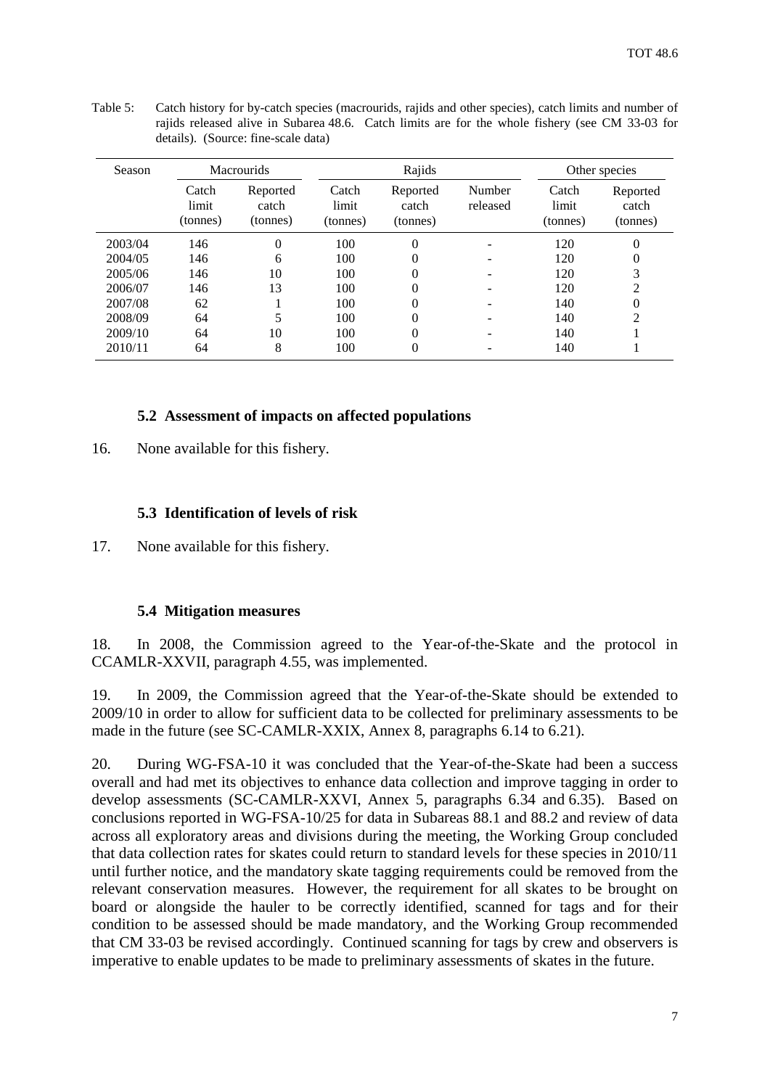| Season  | <b>Macrourids</b>          |                               | Rajids                     |                               |                    | Other species              |                               |
|---------|----------------------------|-------------------------------|----------------------------|-------------------------------|--------------------|----------------------------|-------------------------------|
|         | Catch<br>limit<br>(tonnes) | Reported<br>catch<br>(tonnes) | Catch<br>limit<br>(tonnes) | Reported<br>catch<br>(tonnes) | Number<br>released | Catch<br>limit<br>(tonnes) | Reported<br>catch<br>(tonnes) |
| 2003/04 | 146                        | $\theta$                      | 100                        | $\Omega$                      |                    | 120                        | $\theta$                      |
| 2004/05 | 146                        | 6                             | 100                        |                               |                    | 120                        | $\overline{0}$                |
| 2005/06 | 146                        | 10                            | 100                        | 0                             |                    | 120                        | 3                             |
| 2006/07 | 146                        | 13                            | 100                        |                               |                    | 120                        | 2                             |
| 2007/08 | 62                         |                               | 100                        |                               |                    | 140                        | $\overline{0}$                |
| 2008/09 | 64                         |                               | 100                        |                               |                    | 140                        | 2                             |
| 2009/10 | 64                         | 10                            | 100                        |                               |                    | 140                        |                               |
| 2010/11 | 64                         | 8                             | 100                        | 0                             |                    | 140                        |                               |

Table 5: Catch history for by-catch species (macrourids, rajids and other species), catch limits and number of rajids released alive in Subarea 48.6. Catch limits are for the whole fishery (see CM 33-03 for details). (Source: fine-scale data)

### **5.2 Assessment of impacts on affected populations**

16. None available for this fishery.

#### **5.3 Identification of levels of risk**

17. None available for this fishery.

#### **5.4 Mitigation measures**

18. In 2008, the Commission agreed to the Year-of-the-Skate and the protocol in CCAMLR-XXVII, paragraph 4.55, was implemented.

19. In 2009, the Commission agreed that the Year-of-the-Skate should be extended to 2009/10 in order to allow for sufficient data to be collected for preliminary assessments to be made in the future (see SC-CAMLR-XXIX, Annex 8, paragraphs 6.14 to 6.21).

20. During WG-FSA-10 it was concluded that the Year-of-the-Skate had been a success overall and had met its objectives to enhance data collection and improve tagging in order to develop assessments (SC-CAMLR-XXVI, Annex 5, paragraphs 6.34 and 6.35). Based on conclusions reported in WG-FSA-10/25 for data in Subareas 88.1 and 88.2 and review of data across all exploratory areas and divisions during the meeting, the Working Group concluded that data collection rates for skates could return to standard levels for these species in 2010/11 until further notice, and the mandatory skate tagging requirements could be removed from the relevant conservation measures. However, the requirement for all skates to be brought on board or alongside the hauler to be correctly identified, scanned for tags and for their condition to be assessed should be made mandatory, and the Working Group recommended that CM 33-03 be revised accordingly. Continued scanning for tags by crew and observers is imperative to enable updates to be made to preliminary assessments of skates in the future.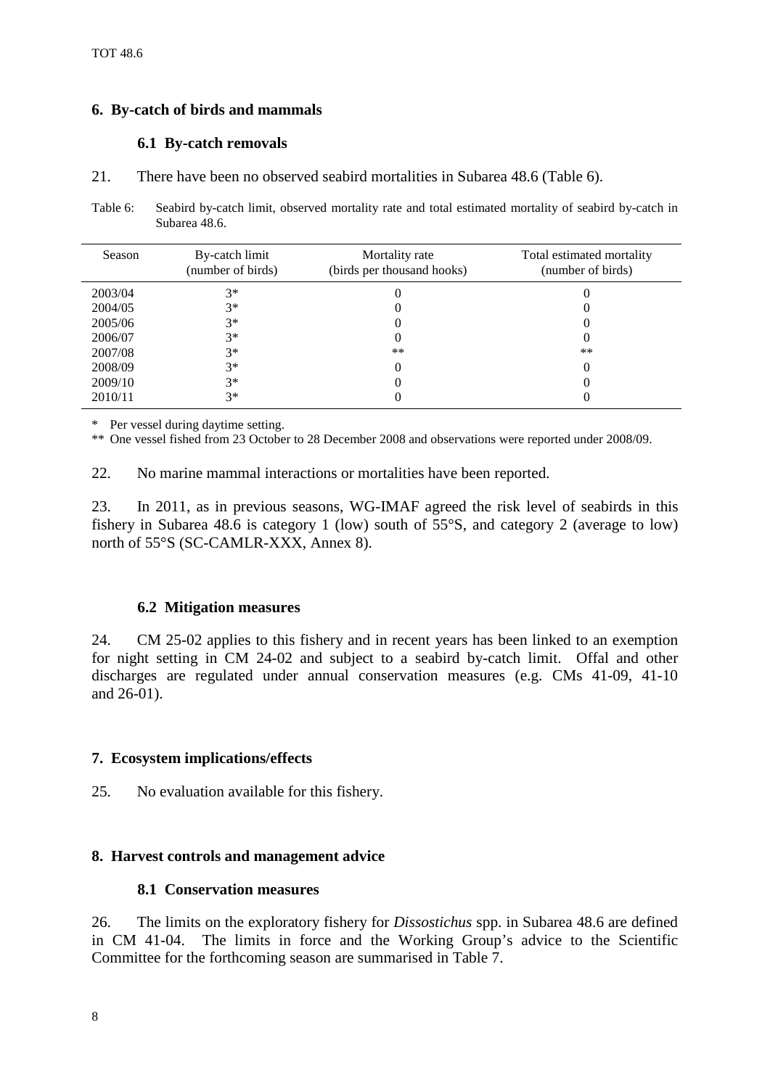## <span id="page-9-0"></span>**6. By-catch of birds and mammals**

### **6.1 By-catch removals**

21. There have been no observed seabird mortalities in Subarea 48.6 (Table 6).

Table 6: Seabird by-catch limit, observed mortality rate and total estimated mortality of seabird by-catch in Subarea 48.6.

| Season  | By-catch limit<br>(number of birds) | Mortality rate<br>(birds per thousand hooks) | Total estimated mortality<br>(number of birds) |
|---------|-------------------------------------|----------------------------------------------|------------------------------------------------|
| 2003/04 | $3*$                                |                                              |                                                |
| 2004/05 | $3*$                                |                                              |                                                |
| 2005/06 | $3*$                                |                                              |                                                |
| 2006/07 | $3*$                                |                                              |                                                |
| 2007/08 | $3*$                                | $***$                                        | $***$                                          |
| 2008/09 | $3*$                                |                                              |                                                |
| 2009/10 | $3*$                                |                                              |                                                |
| 2010/11 | $3*$                                |                                              |                                                |

\* Per vessel during daytime setting.

\*\* One vessel fished from 23 October to 28 December 2008 and observations were reported under 2008/09.

22. No marine mammal interactions or mortalities have been reported.

23. In 2011, as in previous seasons, WG-IMAF agreed the risk level of seabirds in this fishery in Subarea 48.6 is category 1 (low) south of 55°S, and category 2 (average to low) north of 55°S (SC-CAMLR-XXX, Annex 8).

### **6.2 Mitigation measures**

24. CM 25-02 applies to this fishery and in recent years has been linked to an exemption for night setting in CM 24-02 and subject to a seabird by-catch limit. Offal and other discharges are regulated under annual conservation measures (e.g. CMs 41-09, 41-10 and 26-01).

# **7. Ecosystem implications/effects**

25. No evaluation available for this fishery.

# **8. Harvest controls and management advice**

### **8.1 Conservation measures**

26. The limits on the exploratory fishery for *Dissostichus* spp. in Subarea 48.6 are defined in CM 41-04. The limits in force and the Working Group's advice to the Scientific Committee for the forthcoming season are summarised in Table 7.